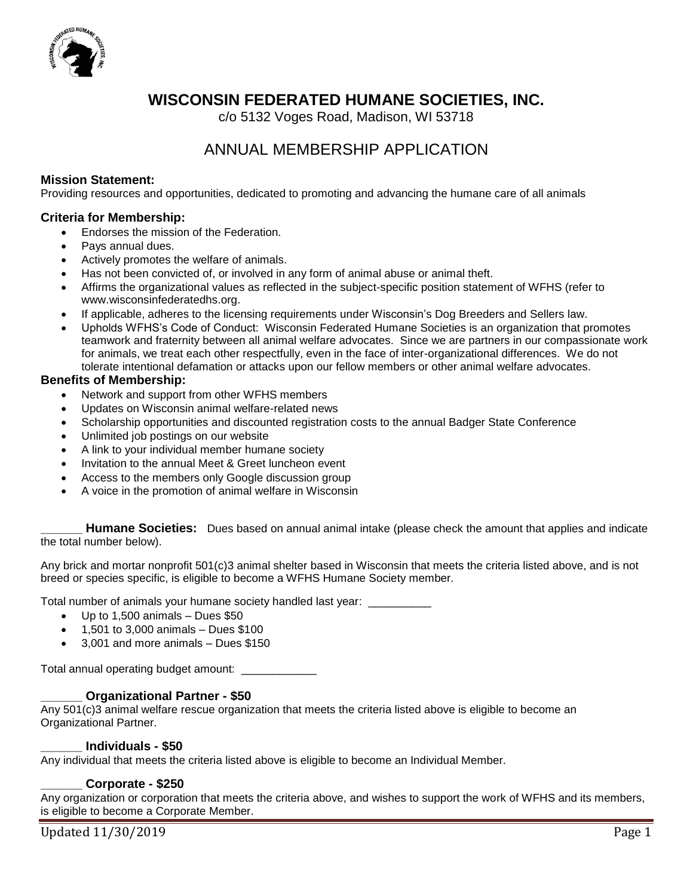

# **WISCONSIN FEDERATED HUMANE SOCIETIES, INC.**

c/o 5132 Voges Road, Madison, WI 53718

# ANNUAL MEMBERSHIP APPLICATION

#### **Mission Statement:**

Providing resources and opportunities, dedicated to promoting and advancing the humane care of all animals

#### **Criteria for Membership:**

- Endorses the mission of the Federation.
- Pays annual dues.
- Actively promotes the welfare of animals.
- Has not been convicted of, or involved in any form of animal abuse or animal theft.
- Affirms the organizational values as reflected in the subject-specific position statement of WFHS (refer to www.wisconsinfederatedhs.org.
- If applicable, adheres to the licensing requirements under Wisconsin's Dog Breeders and Sellers law.
- Upholds WFHS's Code of Conduct: Wisconsin Federated Humane Societies is an organization that promotes teamwork and fraternity between all animal welfare advocates. Since we are partners in our compassionate work for animals, we treat each other respectfully, even in the face of inter-organizational differences. We do not tolerate intentional defamation or attacks upon our fellow members or other animal welfare advocates.

### **Benefits of Membership:**

- Network and support from other WFHS members
- Updates on Wisconsin animal welfare-related news
- Scholarship opportunities and discounted registration costs to the annual Badger State Conference
- Unlimited job postings on our website
- A link to your individual member humane society
- Invitation to the annual Meet & Greet luncheon event
- Access to the members only Google discussion group
- A voice in the promotion of animal welfare in Wisconsin

**Humane Societies:** Dues based on annual animal intake (please check the amount that applies and indicate the total number below).

Any brick and mortar nonprofit 501(c)3 animal shelter based in Wisconsin that meets the criteria listed above, and is not breed or species specific, is eligible to become a WFHS Humane Society member.

Total number of animals your humane society handled last year: \_\_\_\_\_\_\_\_\_\_

- $\bullet$  Up to 1,500 animals Dues \$50
- 1,501 to 3,000 animals Dues \$100
- 3,001 and more animals Dues \$150

Total annual operating budget amount: \_\_\_\_\_\_\_\_\_\_\_

#### **\_\_\_\_\_\_ Organizational Partner - \$50**

Any 501(c)3 animal welfare rescue organization that meets the criteria listed above is eligible to become an Organizational Partner.

#### **\_\_\_\_\_\_ Individuals - \$50**

Any individual that meets the criteria listed above is eligible to become an Individual Member.

#### **\_\_\_\_\_\_ Corporate - \$250**

Any organization or corporation that meets the criteria above, and wishes to support the work of WFHS and its members, is eligible to become a Corporate Member.

Updated 11/30/2019 Page 1